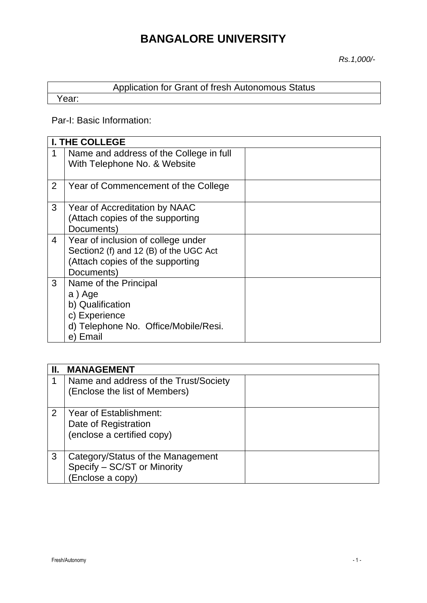# **BANGALORE UNIVERSITY**

*Rs.1,000/-*

|       | Application for Grant of fresh Autonomous Status |
|-------|--------------------------------------------------|
| Year: |                                                  |

# Par-I: Basic Information:

|   | <b>I. THE COLLEGE</b>                                                                                                          |  |
|---|--------------------------------------------------------------------------------------------------------------------------------|--|
| 1 | Name and address of the College in full<br>With Telephone No. & Website                                                        |  |
| 2 | Year of Commencement of the College                                                                                            |  |
| 3 | Year of Accreditation by NAAC<br>(Attach copies of the supporting<br>Documents)                                                |  |
| 4 | Year of inclusion of college under<br>Section2 (f) and 12 (B) of the UGC Act<br>(Attach copies of the supporting<br>Documents) |  |
| 3 | Name of the Principal<br>a) Age<br>b) Qualification<br>c) Experience<br>d) Telephone No. Office/Mobile/Resi.<br>e) Email       |  |

|   | <b>MANAGEMENT</b>                                                                    |  |
|---|--------------------------------------------------------------------------------------|--|
|   | Name and address of the Trust/Society<br>(Enclose the list of Members)               |  |
|   |                                                                                      |  |
| 2 | Year of Establishment:<br>Date of Registration<br>(enclose a certified copy)         |  |
| 3 | Category/Status of the Management<br>Specify - SC/ST or Minority<br>(Enclose a copy) |  |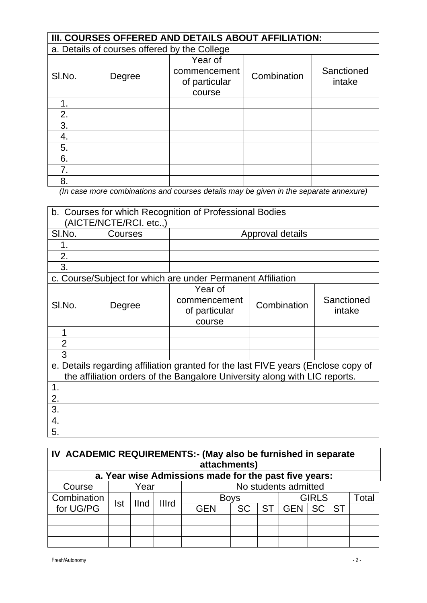|                | III. COURSES OFFERED AND DETAILS ABOUT AFFILIATION: |                                                    |             |                      |  |  |  |
|----------------|-----------------------------------------------------|----------------------------------------------------|-------------|----------------------|--|--|--|
|                | a. Details of courses offered by the College        |                                                    |             |                      |  |  |  |
| SI.No.         | Degree                                              | Year of<br>commencement<br>of particular<br>course | Combination | Sanctioned<br>intake |  |  |  |
| 1.             |                                                     |                                                    |             |                      |  |  |  |
| 2.             |                                                     |                                                    |             |                      |  |  |  |
| 3.             |                                                     |                                                    |             |                      |  |  |  |
| 4.             |                                                     |                                                    |             |                      |  |  |  |
| 5.             |                                                     |                                                    |             |                      |  |  |  |
| 6.             |                                                     |                                                    |             |                      |  |  |  |
| 7 <sub>1</sub> |                                                     |                                                    |             |                      |  |  |  |
| 8.             |                                                     |                                                    |             |                      |  |  |  |

*(In case more combinations and courses details may be given in the separate annexure)*

|                | b. Courses for which Recognition of Professional Bodies<br>(AICTE/NCTE/RCI. etc.,)                                                                              |                                                    |                  |                      |  |
|----------------|-----------------------------------------------------------------------------------------------------------------------------------------------------------------|----------------------------------------------------|------------------|----------------------|--|
| SI.No.         | Courses                                                                                                                                                         |                                                    | Approval details |                      |  |
|                |                                                                                                                                                                 |                                                    |                  |                      |  |
| 2.             |                                                                                                                                                                 |                                                    |                  |                      |  |
| 3.             |                                                                                                                                                                 |                                                    |                  |                      |  |
|                | c. Course/Subject for which are under Permanent Affiliation                                                                                                     |                                                    |                  |                      |  |
| SI.No.         | Degree                                                                                                                                                          | Year of<br>commencement<br>of particular<br>course | Combination      | Sanctioned<br>intake |  |
| 1              |                                                                                                                                                                 |                                                    |                  |                      |  |
| $\overline{2}$ |                                                                                                                                                                 |                                                    |                  |                      |  |
| 3              |                                                                                                                                                                 |                                                    |                  |                      |  |
|                | e. Details regarding affiliation granted for the last FIVE years (Enclose copy of<br>the affiliation orders of the Bangalore University along with LIC reports. |                                                    |                  |                      |  |
| 1.             |                                                                                                                                                                 |                                                    |                  |                      |  |
| 2.             |                                                                                                                                                                 |                                                    |                  |                      |  |
| 3.             |                                                                                                                                                                 |                                                    |                  |                      |  |
| 4.             |                                                                                                                                                                 |                                                    |                  |                      |  |
| 5.             |                                                                                                                                                                 |                                                    |                  |                      |  |

| IV ACADEMIC REQUIREMENTS:- (May also be furnished in separate<br>attachments) |            |                      |  |             |           |      |                      |              |       |
|-------------------------------------------------------------------------------|------------|----------------------|--|-------------|-----------|------|----------------------|--------------|-------|
| a. Year wise Admissions made for the past five years:                         |            |                      |  |             |           |      |                      |              |       |
| Course                                                                        |            | Year                 |  |             |           |      | No students admitted |              |       |
| Combination                                                                   | <b>Ist</b> | <b>Illrd</b><br>IInd |  | <b>Boys</b> |           |      |                      | <b>GIRLS</b> | Total |
| for UG/PG                                                                     |            |                      |  | <b>GEN</b>  | <b>SC</b> | ST I | GEN SC ST            |              |       |
|                                                                               |            |                      |  |             |           |      |                      |              |       |
|                                                                               |            |                      |  |             |           |      |                      |              |       |
|                                                                               |            |                      |  |             |           |      |                      |              |       |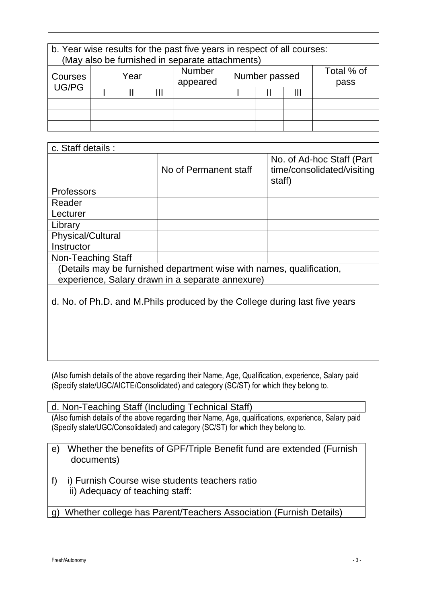| b. Year wise results for the past five years in respect of all courses: |         |  |  |         |  |
|-------------------------------------------------------------------------|---------|--|--|---------|--|
| (May also be furnished in separate attachments)                         |         |  |  |         |  |
|                                                                         | Nlumhar |  |  | % ادt∩T |  |

| Courses<br>UG/PG | Year |  |  | Number<br>appeared | Number passed |  | Total % of<br>pass |
|------------------|------|--|--|--------------------|---------------|--|--------------------|
|                  |      |  |  |                    |               |  |                    |
|                  |      |  |  |                    |               |  |                    |
|                  |      |  |  |                    |               |  |                    |
|                  |      |  |  |                    |               |  |                    |

| c. Staff details :                                                         |                       |                                                                   |  |  |  |
|----------------------------------------------------------------------------|-----------------------|-------------------------------------------------------------------|--|--|--|
|                                                                            | No of Permanent staff | No. of Ad-hoc Staff (Part<br>time/consolidated/visiting<br>staff) |  |  |  |
| <b>Professors</b>                                                          |                       |                                                                   |  |  |  |
| Reader                                                                     |                       |                                                                   |  |  |  |
| Lecturer                                                                   |                       |                                                                   |  |  |  |
| Library                                                                    |                       |                                                                   |  |  |  |
| <b>Physical/Cultural</b>                                                   |                       |                                                                   |  |  |  |
| Instructor                                                                 |                       |                                                                   |  |  |  |
| Non-Teaching Staff                                                         |                       |                                                                   |  |  |  |
| (Details may be furnished department wise with names, qualification,       |                       |                                                                   |  |  |  |
| experience, Salary drawn in a separate annexure)                           |                       |                                                                   |  |  |  |
|                                                                            |                       |                                                                   |  |  |  |
| d. No. of Ph.D. and M.Phils produced by the College during last five years |                       |                                                                   |  |  |  |

(Also furnish details of the above regarding their Name, Age, Qualification, experience, Salary paid (Specify state/UGC/AICTE/Consolidated) and category (SC/ST) for which they belong to.

d. Non-Teaching Staff (Including Technical Staff) (Also furnish details of the above regarding their Name, Age, qualifications, experience, Salary paid (Specify state/UGC/Consolidated) and category (SC/ST) for which they belong to.

- e) Whether the benefits of GPF/Triple Benefit fund are extended (Furnish documents)
- f) i) Furnish Course wise students teachers ratio ii) Adequacy of teaching staff:
- g) Whether college has Parent/Teachers Association (Furnish Details)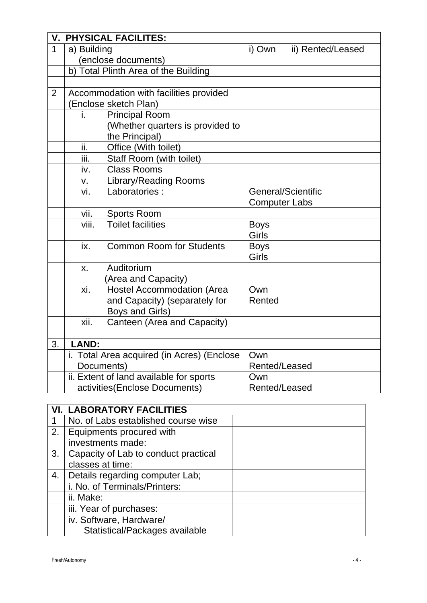|              | <b>V. PHYSICAL FACILITES:</b> |                                            |                      |                   |  |  |
|--------------|-------------------------------|--------------------------------------------|----------------------|-------------------|--|--|
| $\mathbf{1}$ | a) Building                   |                                            | i) Own               | ii) Rented/Leased |  |  |
|              |                               | (enclose documents)                        |                      |                   |  |  |
|              |                               | b) Total Plinth Area of the Building       |                      |                   |  |  |
|              |                               |                                            |                      |                   |  |  |
| 2            |                               | Accommodation with facilities provided     |                      |                   |  |  |
|              |                               | (Enclose sketch Plan)                      |                      |                   |  |  |
|              | i.                            | <b>Principal Room</b>                      |                      |                   |  |  |
|              |                               | (Whether quarters is provided to           |                      |                   |  |  |
|              |                               | the Principal)                             |                      |                   |  |  |
|              | ii.                           | Office (With toilet)                       |                      |                   |  |  |
|              | iii.                          | Staff Room (with toilet)                   |                      |                   |  |  |
|              | iv.                           | <b>Class Rooms</b>                         |                      |                   |  |  |
|              | v.                            | <b>Library/Reading Rooms</b>               |                      |                   |  |  |
|              | vi.                           | Laboratories:                              | General/Scientific   |                   |  |  |
|              |                               |                                            | <b>Computer Labs</b> |                   |  |  |
|              | vii.                          | Sports Room                                |                      |                   |  |  |
|              | viii.                         | <b>Toilet facilities</b>                   | <b>Boys</b>          |                   |  |  |
|              |                               |                                            | Girls                |                   |  |  |
|              | ix.                           | <b>Common Room for Students</b>            | <b>Boys</b>          |                   |  |  |
|              |                               |                                            | Girls                |                   |  |  |
|              | X.                            | Auditorium                                 |                      |                   |  |  |
|              |                               | (Area and Capacity)                        |                      |                   |  |  |
|              | xi.                           | <b>Hostel Accommodation (Area</b>          | Own                  |                   |  |  |
|              |                               | and Capacity) (separately for              | Rented               |                   |  |  |
|              |                               | Boys and Girls)                            |                      |                   |  |  |
|              | xii.                          | Canteen (Area and Capacity)                |                      |                   |  |  |
|              |                               |                                            |                      |                   |  |  |
| 3.           | <b>LAND:</b>                  |                                            |                      |                   |  |  |
|              |                               | i. Total Area acquired (in Acres) (Enclose | Own                  |                   |  |  |
|              | Documents)                    |                                            | Rented/Leased        |                   |  |  |
|              |                               | ii. Extent of land available for sports    | Own                  |                   |  |  |
|              |                               | activities(Enclose Documents)              | Rented/Leased        |                   |  |  |

|             | <b>VI. LABORATORY FACILITIES</b>     |  |
|-------------|--------------------------------------|--|
| $\mathbf 1$ | No. of Labs established course wise  |  |
| 2.          | Equipments procured with             |  |
|             | investments made:                    |  |
| 3.          | Capacity of Lab to conduct practical |  |
|             | classes at time:                     |  |
| 4.          | Details regarding computer Lab;      |  |
|             | i. No. of Terminals/Printers:        |  |
|             | ii. Make:                            |  |
|             | iii. Year of purchases:              |  |
|             | iv. Software, Hardware/              |  |
|             | Statistical/Packages available       |  |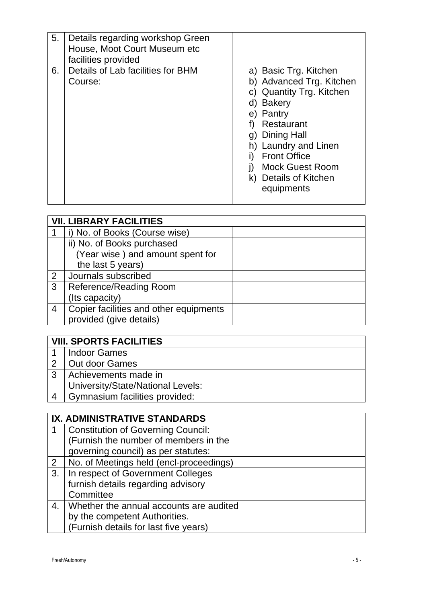| 5. | Details regarding workshop Green<br>House, Moot Court Museum etc<br>facilities provided |                                                                                                                                                                                                                                                                   |
|----|-----------------------------------------------------------------------------------------|-------------------------------------------------------------------------------------------------------------------------------------------------------------------------------------------------------------------------------------------------------------------|
| 6. | Details of Lab facilities for BHM<br>Course:                                            | a) Basic Trg. Kitchen<br>b) Advanced Trg. Kitchen<br>c) Quantity Trg. Kitchen<br>d) Bakery<br>e) Pantry<br>Restaurant<br><b>Dining Hall</b><br>g)<br>h) Laundry and Linen<br><b>Front Office</b><br><b>Mock Guest Room</b><br>k) Details of Kitchen<br>equipments |

|   | <b>VII. LIBRARY FACILITIES</b>         |  |
|---|----------------------------------------|--|
|   | i) No. of Books (Course wise)          |  |
|   | ii) No. of Books purchased             |  |
|   | (Year wise) and amount spent for       |  |
|   | the last 5 years)                      |  |
| 2 | Journals subscribed                    |  |
| 3 | Reference/Reading Room                 |  |
|   | (Its capacity)                         |  |
| 4 | Copier facilities and other equipments |  |
|   | provided (give details)                |  |

|   | <b>VIII. SPORTS FACILITIES</b>    |  |
|---|-----------------------------------|--|
|   | <b>Indoor Games</b>               |  |
| 2 | Out door Games                    |  |
| 3 | Achievements made in              |  |
|   | University/State/National Levels: |  |
|   | Gymnasium facilities provided:    |  |

|    | IX. ADMINISTRATIVE STANDARDS              |  |
|----|-------------------------------------------|--|
|    | <b>Constitution of Governing Council:</b> |  |
|    | (Furnish the number of members in the     |  |
|    | governing council) as per statutes:       |  |
| 2  | No. of Meetings held (encl-proceedings)   |  |
| 3. | In respect of Government Colleges         |  |
|    | furnish details regarding advisory        |  |
|    | Committee                                 |  |
| 4. | Whether the annual accounts are audited   |  |
|    | by the competent Authorities.             |  |
|    | (Furnish details for last five years)     |  |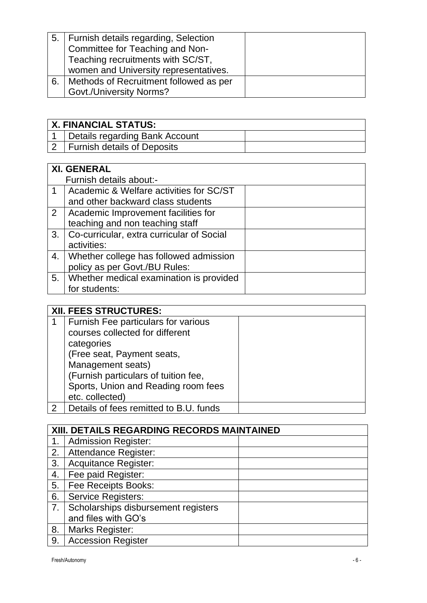| 5.   Furnish details regarding, Selection   |  |
|---------------------------------------------|--|
| Committee for Teaching and Non-             |  |
| Teaching recruitments with SC/ST,           |  |
| women and University representatives.       |  |
| 6.   Methods of Recruitment followed as per |  |
| <b>Govt./University Norms?</b>              |  |

| <b>X. FINANCIAL STATUS:</b> |                                    |  |
|-----------------------------|------------------------------------|--|
|                             | Details regarding Bank Account     |  |
|                             | <b>Furnish details of Deposits</b> |  |

|                | <b>XI. GENERAL</b>                        |  |
|----------------|-------------------------------------------|--|
|                | Furnish details about:-                   |  |
| $\mathbf 1$    | Academic & Welfare activities for SC/ST   |  |
|                | and other backward class students         |  |
| $\overline{2}$ | Academic Improvement facilities for       |  |
|                | teaching and non teaching staff           |  |
| 3.             | Co-curricular, extra curricular of Social |  |
|                | activities:                               |  |
| 4.             | Whether college has followed admission    |  |
|                | policy as per Govt./BU Rules:             |  |
| 5.             | Whether medical examination is provided   |  |
|                | for students:                             |  |

|               | XII. FEES STRUCTURES:                  |
|---------------|----------------------------------------|
| 1             | Furnish Fee particulars for various    |
|               | courses collected for different        |
|               | categories                             |
|               | (Free seat, Payment seats,             |
|               | Management seats)                      |
|               | (Furnish particulars of tuition fee,   |
|               | Sports, Union and Reading room fees    |
|               | etc. collected)                        |
| $\mathcal{P}$ | Details of fees remitted to B.U. funds |

| XIII. DETAILS REGARDING RECORDS MAINTAINED |                                     |
|--------------------------------------------|-------------------------------------|
| 1.                                         | <b>Admission Register:</b>          |
| 2.                                         | <b>Attendance Register:</b>         |
| 3.                                         | <b>Acquitance Register:</b>         |
| 4.                                         | Fee paid Register:                  |
| 5.                                         | Fee Receipts Books:                 |
| 6.                                         | <b>Service Registers:</b>           |
| 7 <sub>1</sub>                             | Scholarships disbursement registers |
|                                            | and files with GO's                 |
| 8.                                         | <b>Marks Register:</b>              |
| 9.                                         | <b>Accession Register</b>           |